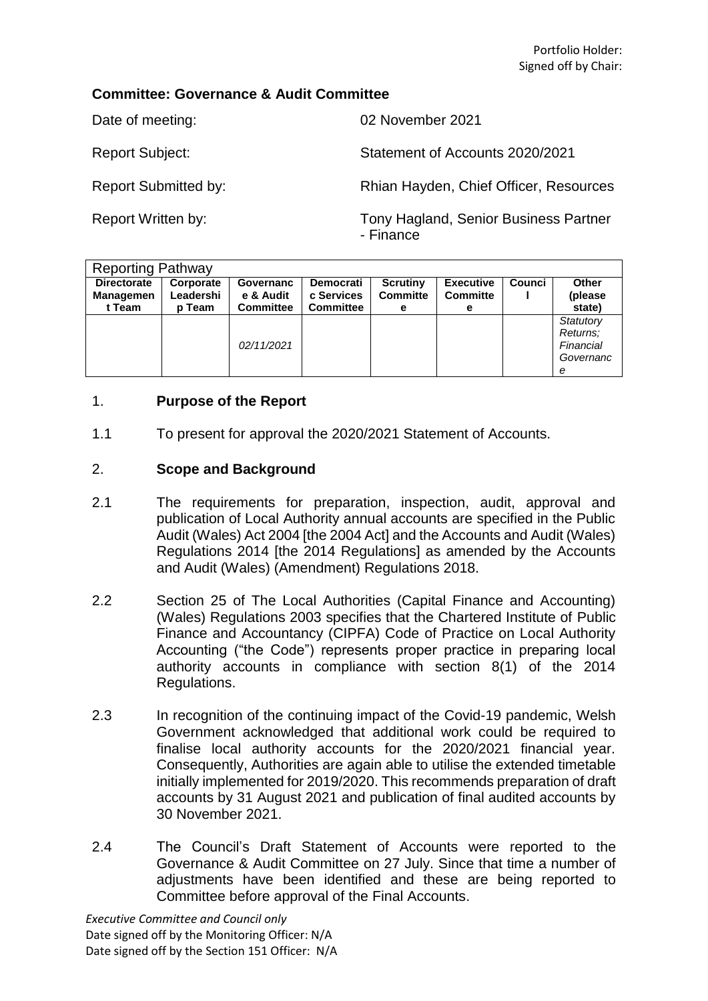# **Committee: Governance & Audit Committee**

Date of meeting: 02 November 2021

Report Subject: Subject: Statement of Accounts 2020/2021

Report Submitted by: Rhian Hayden, Chief Officer, Resources

Report Written by: Tony Hagland, Senior Business Partner - Finance

| <b>Reporting Pathway</b>                  |                                         |                                            |                                                    |                                         |                                          |        |                                                      |
|-------------------------------------------|-----------------------------------------|--------------------------------------------|----------------------------------------------------|-----------------------------------------|------------------------------------------|--------|------------------------------------------------------|
| <b>Directorate</b><br>Managemen<br>t Team | Corporate<br>Leadershi<br><b>p</b> Team | Governanc<br>e & Audit<br><b>Committee</b> | <b>Democrati</b><br>c Services<br><b>Committee</b> | <b>Scrutiny</b><br><b>Committe</b><br>е | <b>Executive</b><br><b>Committe</b><br>е | Counci | Other<br>(please<br>state)                           |
|                                           |                                         | 02/11/2021                                 |                                                    |                                         |                                          |        | Statutory<br>Returns:<br>Financial<br>Governanc<br>е |

# 1. **Purpose of the Report**

1.1 To present for approval the 2020/2021 Statement of Accounts.

# 2. **Scope and Background**

- 2.1 The requirements for preparation, inspection, audit, approval and publication of Local Authority annual accounts are specified in the Public Audit (Wales) Act 2004 [the 2004 Act] and the Accounts and Audit (Wales) Regulations 2014 [the 2014 Regulations] as amended by the Accounts and Audit (Wales) (Amendment) Regulations 2018.
- 2.2 Section 25 of The Local Authorities (Capital Finance and Accounting) (Wales) Regulations 2003 specifies that the Chartered Institute of Public Finance and Accountancy (CIPFA) Code of Practice on Local Authority Accounting ("the Code") represents proper practice in preparing local authority accounts in compliance with section 8(1) of the 2014 Regulations.
- 2.3 In recognition of the continuing impact of the Covid-19 pandemic, Welsh Government acknowledged that additional work could be required to finalise local authority accounts for the 2020/2021 financial year. Consequently, Authorities are again able to utilise the extended timetable initially implemented for 2019/2020. This recommends preparation of draft accounts by 31 August 2021 and publication of final audited accounts by 30 November 2021.
- 2.4 The Council's Draft Statement of Accounts were reported to the Governance & Audit Committee on 27 July. Since that time a number of adjustments have been identified and these are being reported to Committee before approval of the Final Accounts.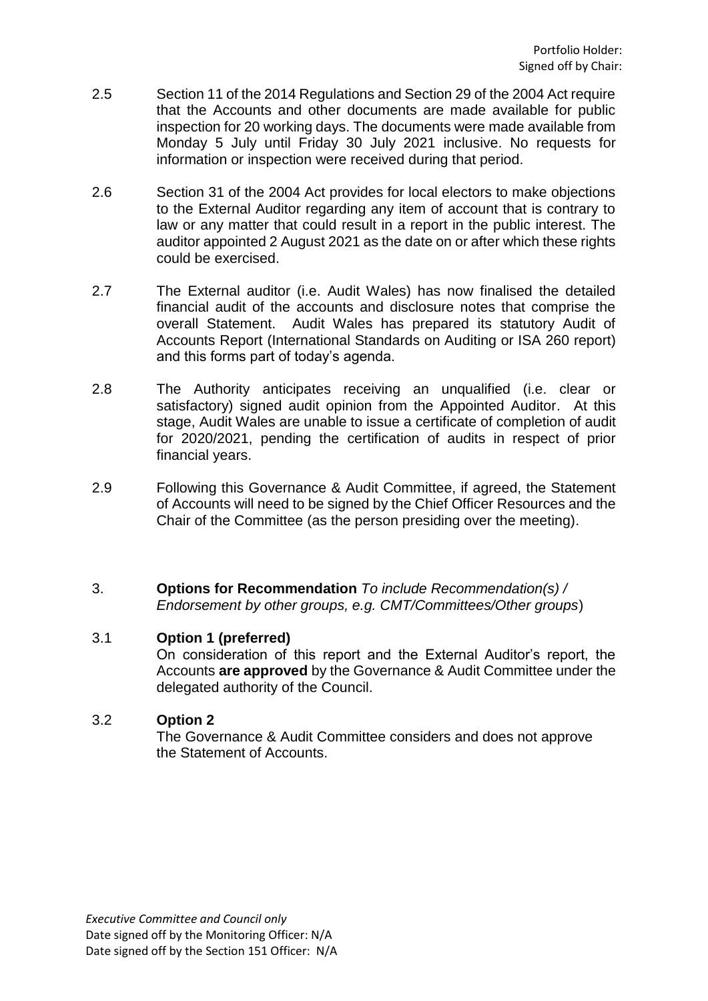- 2.5 Section 11 of the 2014 Regulations and Section 29 of the 2004 Act require that the Accounts and other documents are made available for public inspection for 20 working days. The documents were made available from Monday 5 July until Friday 30 July 2021 inclusive. No requests for information or inspection were received during that period.
- 2.6 Section 31 of the 2004 Act provides for local electors to make objections to the External Auditor regarding any item of account that is contrary to law or any matter that could result in a report in the public interest. The auditor appointed 2 August 2021 as the date on or after which these rights could be exercised.
- 2.7 The External auditor (i.e. Audit Wales) has now finalised the detailed financial audit of the accounts and disclosure notes that comprise the overall Statement. Audit Wales has prepared its statutory Audit of Accounts Report (International Standards on Auditing or ISA 260 report) and this forms part of today's agenda.
- 2.8 The Authority anticipates receiving an unqualified (i.e. clear or satisfactory) signed audit opinion from the Appointed Auditor. At this stage, Audit Wales are unable to issue a certificate of completion of audit for 2020/2021, pending the certification of audits in respect of prior financial years.
- 2.9 Following this Governance & Audit Committee, if agreed, the Statement of Accounts will need to be signed by the Chief Officer Resources and the Chair of the Committee (as the person presiding over the meeting).
- 3. **Options for Recommendation** *To include Recommendation(s) / Endorsement by other groups, e.g. CMT/Committees/Other groups*)

### 3.1 **Option 1 (preferred)**

On consideration of this report and the External Auditor's report, the Accounts **are approved** by the Governance & Audit Committee under the delegated authority of the Council.

### 3.2 **Option 2**

The Governance & Audit Committee considers and does not approve the Statement of Accounts.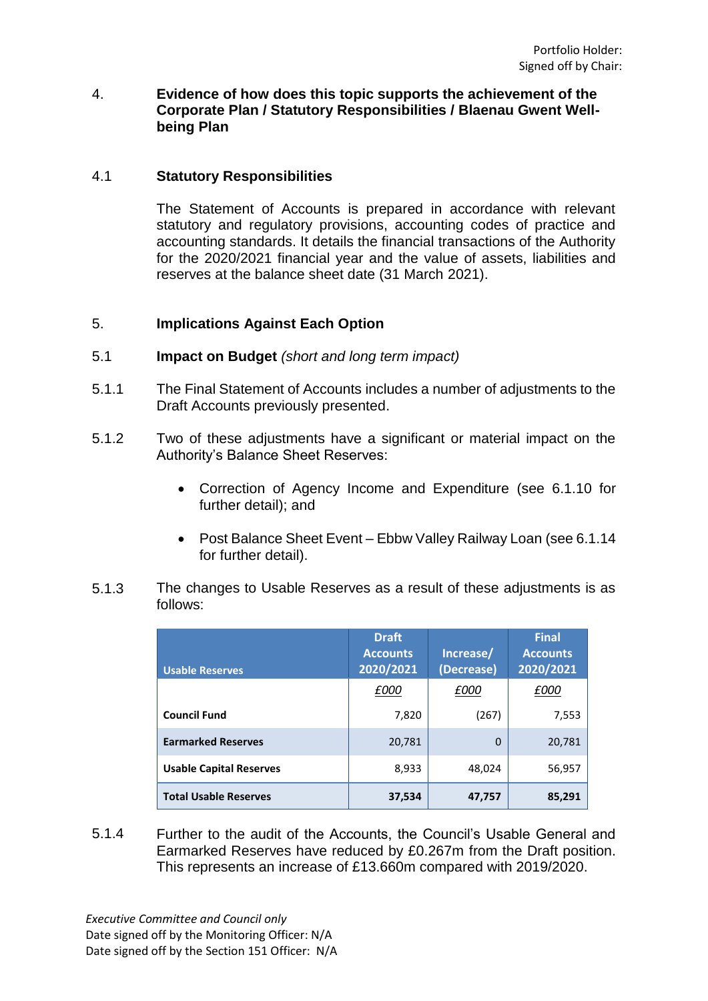### 4. **Evidence of how does this topic supports the achievement of the Corporate Plan / Statutory Responsibilities / Blaenau Gwent Wellbeing Plan**

### 4.1 **Statutory Responsibilities**

The Statement of Accounts is prepared in accordance with relevant statutory and regulatory provisions, accounting codes of practice and accounting standards. It details the financial transactions of the Authority for the 2020/2021 financial year and the value of assets, liabilities and reserves at the balance sheet date (31 March 2021).

## 5. **Implications Against Each Option**

- 5.1 **Impact on Budget** *(short and long term impact)*
- 5.1.1 The Final Statement of Accounts includes a number of adjustments to the Draft Accounts previously presented.
- 5.1.2 Two of these adjustments have a significant or material impact on the Authority's Balance Sheet Reserves:
	- Correction of Agency Income and Expenditure (see 6.1.10 for further detail); and
	- Post Balance Sheet Event Ebbw Valley Railway Loan (see 6.1.14 for further detail).
- 5.1.3 The changes to Usable Reserves as a result of these adjustments is as follows:

| <b>Usable Reserves</b>         | <b>Draft</b><br><b>Accounts</b><br>2020/2021 | Increase/<br>(Decrease) | <b>Final</b><br><b>Accounts</b><br>2020/2021 |
|--------------------------------|----------------------------------------------|-------------------------|----------------------------------------------|
|                                | £000                                         | £000                    | £000                                         |
| <b>Council Fund</b>            | 7,820                                        | (267)                   | 7,553                                        |
| <b>Earmarked Reserves</b>      | 20,781                                       | $\Omega$                | 20,781                                       |
| <b>Usable Capital Reserves</b> | 8,933                                        | 48,024                  | 56,957                                       |
| <b>Total Usable Reserves</b>   | 37,534                                       | 47,757                  | 85,291                                       |

5.1.4 Further to the audit of the Accounts, the Council's Usable General and Earmarked Reserves have reduced by £0.267m from the Draft position. This represents an increase of £13.660m compared with 2019/2020.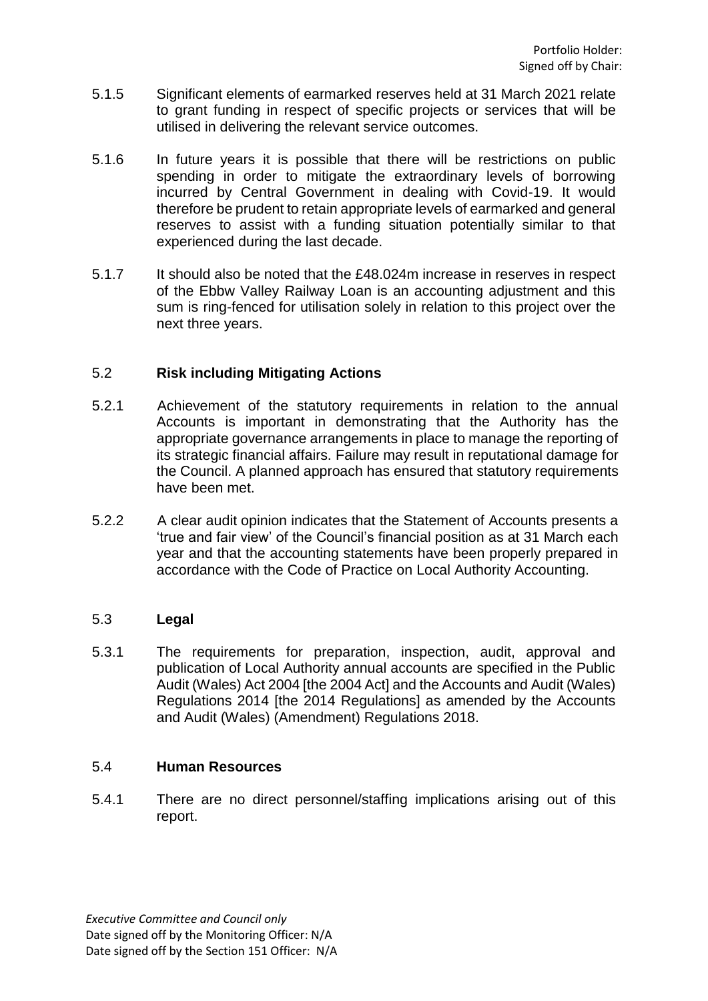- 5.1.5 Significant elements of earmarked reserves held at 31 March 2021 relate to grant funding in respect of specific projects or services that will be utilised in delivering the relevant service outcomes.
- 5.1.6 In future years it is possible that there will be restrictions on public spending in order to mitigate the extraordinary levels of borrowing incurred by Central Government in dealing with Covid-19. It would therefore be prudent to retain appropriate levels of earmarked and general reserves to assist with a funding situation potentially similar to that experienced during the last decade.
- 5.1.7 It should also be noted that the £48.024m increase in reserves in respect of the Ebbw Valley Railway Loan is an accounting adjustment and this sum is ring-fenced for utilisation solely in relation to this project over the next three years.

### 5.2 **Risk including Mitigating Actions**

- 5.2.1 Achievement of the statutory requirements in relation to the annual Accounts is important in demonstrating that the Authority has the appropriate governance arrangements in place to manage the reporting of its strategic financial affairs. Failure may result in reputational damage for the Council. A planned approach has ensured that statutory requirements have been met.
- 5.2.2 A clear audit opinion indicates that the Statement of Accounts presents a 'true and fair view' of the Council's financial position as at 31 March each year and that the accounting statements have been properly prepared in accordance with the Code of Practice on Local Authority Accounting.

### 5.3 **Legal**

5.3.1 The requirements for preparation, inspection, audit, approval and publication of Local Authority annual accounts are specified in the Public Audit (Wales) Act 2004 [the 2004 Act] and the Accounts and Audit (Wales) Regulations 2014 [the 2014 Regulations] as amended by the Accounts and Audit (Wales) (Amendment) Regulations 2018.

### 5.4 **Human Resources**

5.4.1 There are no direct personnel/staffing implications arising out of this report.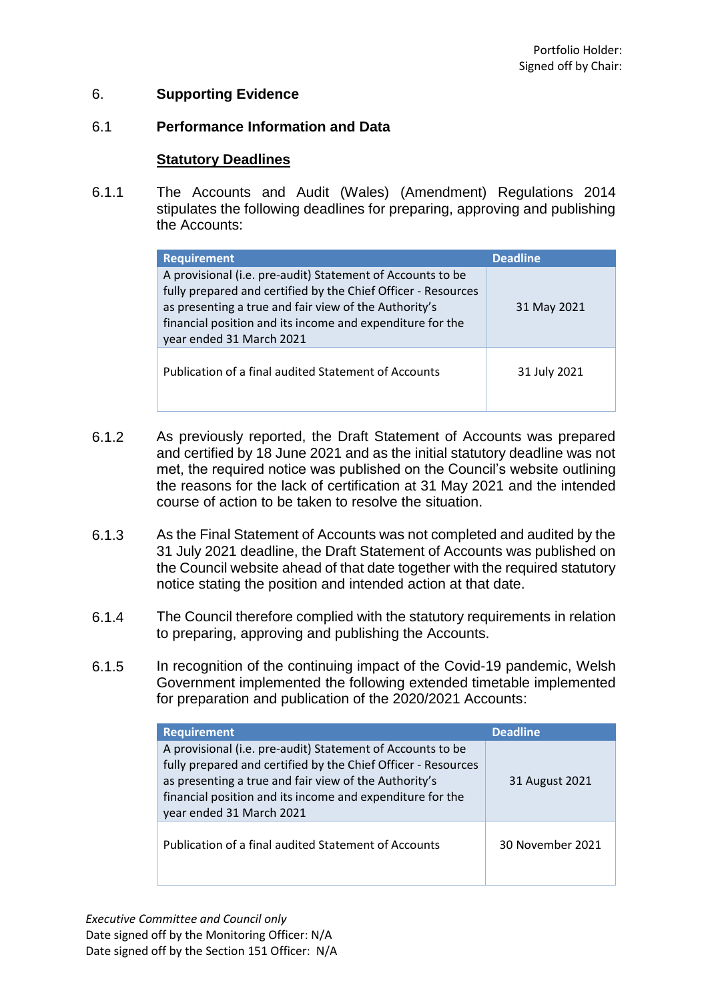### 6. **Supporting Evidence**

#### 6.1 **Performance Information and Data**

### **Statutory Deadlines**

6.1.1 The Accounts and Audit (Wales) (Amendment) Regulations 2014 stipulates the following deadlines for preparing, approving and publishing the Accounts:

| <b>Requirement</b>                                                                                                                                                                                                                                                            | <b>Deadline</b> |
|-------------------------------------------------------------------------------------------------------------------------------------------------------------------------------------------------------------------------------------------------------------------------------|-----------------|
| A provisional (i.e. pre-audit) Statement of Accounts to be<br>fully prepared and certified by the Chief Officer - Resources<br>as presenting a true and fair view of the Authority's<br>financial position and its income and expenditure for the<br>year ended 31 March 2021 | 31 May 2021     |
| Publication of a final audited Statement of Accounts                                                                                                                                                                                                                          | 31 July 2021    |

- 6.1.2 As previously reported, the Draft Statement of Accounts was prepared and certified by 18 June 2021 and as the initial statutory deadline was not met, the required notice was published on the Council's website outlining the reasons for the lack of certification at 31 May 2021 and the intended course of action to be taken to resolve the situation.
- 6.1.3 As the Final Statement of Accounts was not completed and audited by the 31 July 2021 deadline, the Draft Statement of Accounts was published on the Council website ahead of that date together with the required statutory notice stating the position and intended action at that date.
- 6.1.4 The Council therefore complied with the statutory requirements in relation to preparing, approving and publishing the Accounts.
- 6.1.5 In recognition of the continuing impact of the Covid-19 pandemic, Welsh Government implemented the following extended timetable implemented for preparation and publication of the 2020/2021 Accounts:

| <b>Requirement</b>                                                                                                                                                                                                                                                            | <b>Deadline</b>  |
|-------------------------------------------------------------------------------------------------------------------------------------------------------------------------------------------------------------------------------------------------------------------------------|------------------|
| A provisional (i.e. pre-audit) Statement of Accounts to be<br>fully prepared and certified by the Chief Officer - Resources<br>as presenting a true and fair view of the Authority's<br>financial position and its income and expenditure for the<br>year ended 31 March 2021 | 31 August 2021   |
| Publication of a final audited Statement of Accounts                                                                                                                                                                                                                          | 30 November 2021 |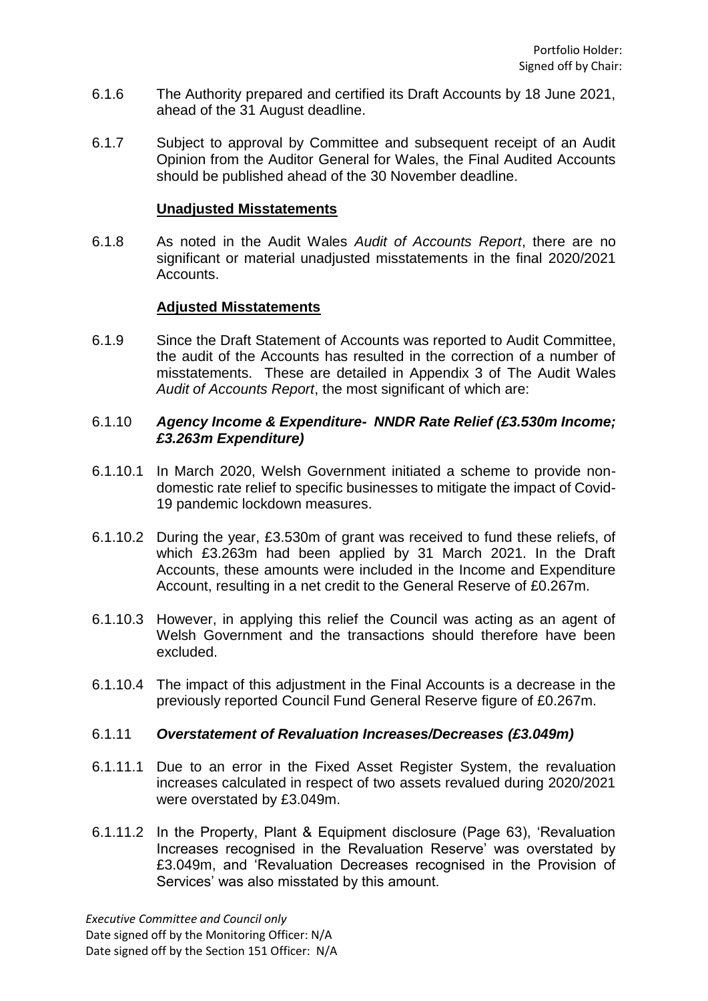- 6.1.6 The Authority prepared and certified its Draft Accounts by 18 June 2021, ahead of the 31 August deadline.
- 6.1.7 Subject to approval by Committee and subsequent receipt of an Audit Opinion from the Auditor General for Wales, the Final Audited Accounts should be published ahead of the 30 November deadline.

### **Unadjusted Misstatements**

6.1.8 As noted in the Audit Wales *Audit of Accounts Report*, there are no significant or material unadjusted misstatements in the final 2020/2021 Accounts.

## **Adjusted Misstatements**

6.1.9 Since the Draft Statement of Accounts was reported to Audit Committee, the audit of the Accounts has resulted in the correction of a number of misstatements. These are detailed in Appendix 3 of The Audit Wales *Audit of Accounts Report*, the most significant of which are:

### 6.1.10 *Agency Income & Expenditure- NNDR Rate Relief (£3.530m Income; £3.263m Expenditure)*

- 6.1.10.1 In March 2020, Welsh Government initiated a scheme to provide nondomestic rate relief to specific businesses to mitigate the impact of Covid-19 pandemic lockdown measures.
- 6.1.10.2 During the year, £3.530m of grant was received to fund these reliefs, of which £3.263m had been applied by 31 March 2021. In the Draft Accounts, these amounts were included in the Income and Expenditure Account, resulting in a net credit to the General Reserve of £0.267m.
- 6.1.10.3 However, in applying this relief the Council was acting as an agent of Welsh Government and the transactions should therefore have been excluded.
- 6.1.10.4 The impact of this adjustment in the Final Accounts is a decrease in the previously reported Council Fund General Reserve figure of £0.267m.

#### 6.1.11 *Overstatement of Revaluation Increases/Decreases (£3.049m)*

- 6.1.11.1 Due to an error in the Fixed Asset Register System, the revaluation increases calculated in respect of two assets revalued during 2020/2021 were overstated by £3.049m.
- 6.1.11.2 In the Property, Plant & Equipment disclosure (Page 63), 'Revaluation Increases recognised in the Revaluation Reserve' was overstated by £3.049m, and 'Revaluation Decreases recognised in the Provision of Services' was also misstated by this amount.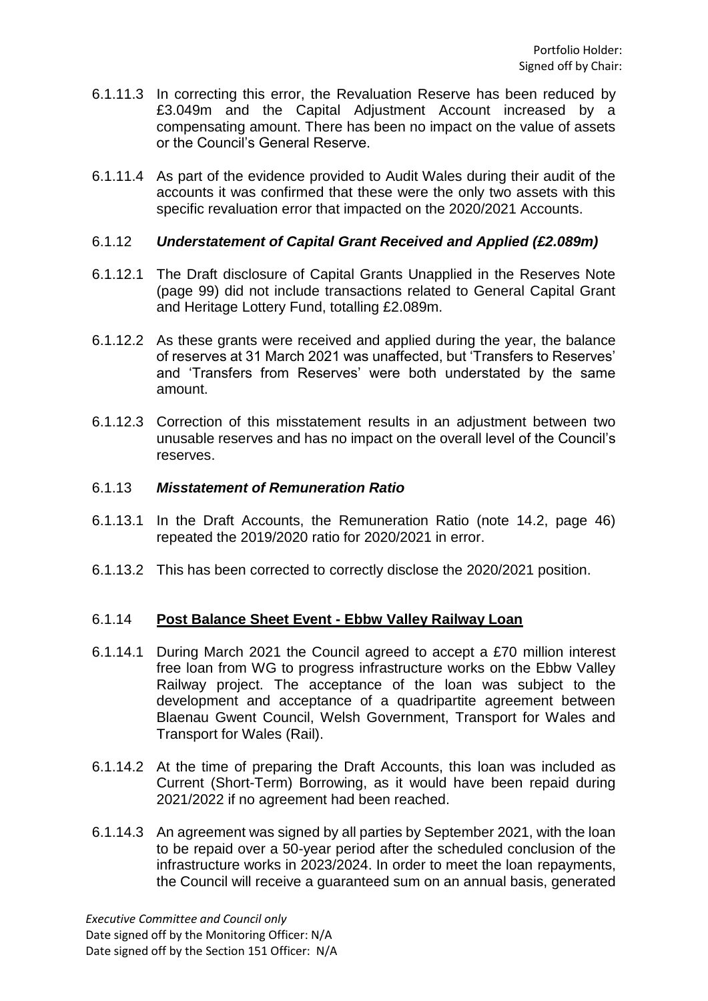- 6.1.11.3 In correcting this error, the Revaluation Reserve has been reduced by £3.049m and the Capital Adjustment Account increased by a compensating amount. There has been no impact on the value of assets or the Council's General Reserve.
- 6.1.11.4 As part of the evidence provided to Audit Wales during their audit of the accounts it was confirmed that these were the only two assets with this specific revaluation error that impacted on the 2020/2021 Accounts.

### 6.1.12 *Understatement of Capital Grant Received and Applied (£2.089m)*

- 6.1.12.1 The Draft disclosure of Capital Grants Unapplied in the Reserves Note (page 99) did not include transactions related to General Capital Grant and Heritage Lottery Fund, totalling £2.089m.
- 6.1.12.2 As these grants were received and applied during the year, the balance of reserves at 31 March 2021 was unaffected, but 'Transfers to Reserves' and 'Transfers from Reserves' were both understated by the same amount.
- 6.1.12.3 Correction of this misstatement results in an adjustment between two unusable reserves and has no impact on the overall level of the Council's reserves.

#### 6.1.13 *Misstatement of Remuneration Ratio*

- 6.1.13.1 In the Draft Accounts, the Remuneration Ratio (note 14.2, page 46) repeated the 2019/2020 ratio for 2020/2021 in error.
- 6.1.13.2 This has been corrected to correctly disclose the 2020/2021 position.

### 6.1.14 **Post Balance Sheet Event - Ebbw Valley Railway Loan**

- 6.1.14.1 During March 2021 the Council agreed to accept a £70 million interest free loan from WG to progress infrastructure works on the Ebbw Valley Railway project. The acceptance of the loan was subject to the development and acceptance of a quadripartite agreement between Blaenau Gwent Council, Welsh Government, Transport for Wales and Transport for Wales (Rail).
- 6.1.14.2 At the time of preparing the Draft Accounts, this loan was included as Current (Short-Term) Borrowing, as it would have been repaid during 2021/2022 if no agreement had been reached.
- 6.1.14.3 An agreement was signed by all parties by September 2021, with the loan to be repaid over a 50-year period after the scheduled conclusion of the infrastructure works in 2023/2024. In order to meet the loan repayments, the Council will receive a guaranteed sum on an annual basis, generated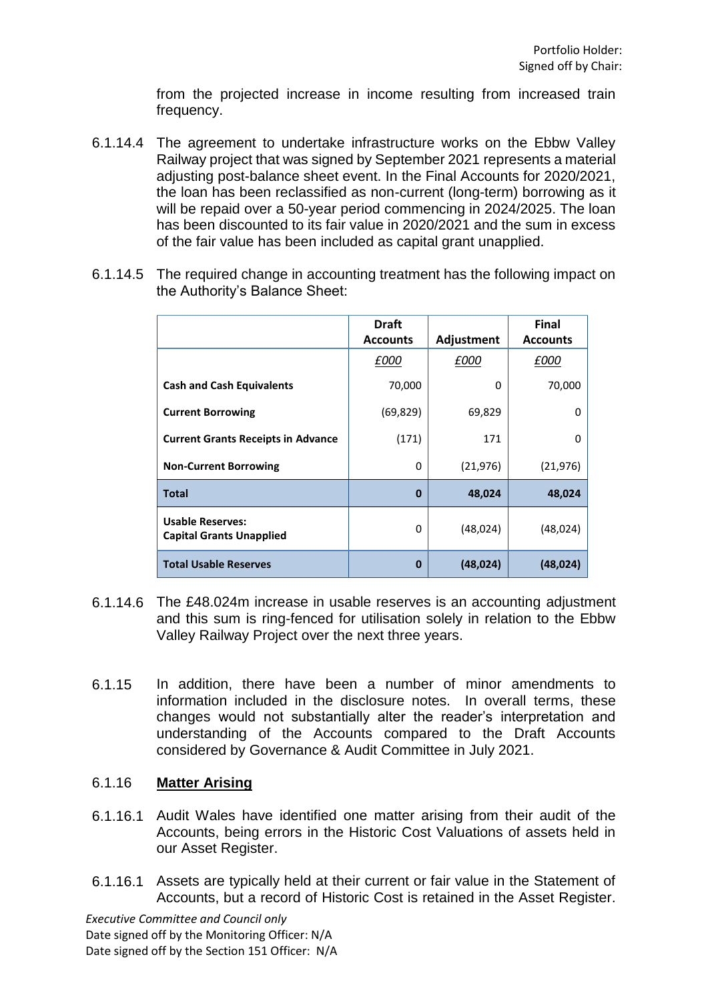from the projected increase in income resulting from increased train frequency.

- 6.1.14.4 The agreement to undertake infrastructure works on the Ebbw Valley Railway project that was signed by September 2021 represents a material adjusting post-balance sheet event. In the Final Accounts for 2020/2021, the loan has been reclassified as non-current (long-term) borrowing as it will be repaid over a 50-year period commencing in 2024/2025. The loan has been discounted to its fair value in 2020/2021 and the sum in excess of the fair value has been included as capital grant unapplied.
- 6.1.14.5 The required change in accounting treatment has the following impact on the Authority's Balance Sheet:

|                                                            | <b>Draft</b>    |            | <b>Final</b>    |
|------------------------------------------------------------|-----------------|------------|-----------------|
|                                                            | <b>Accounts</b> | Adjustment | <b>Accounts</b> |
|                                                            | £000            | £000       | £000            |
| <b>Cash and Cash Equivalents</b>                           | 70,000          | 0          | 70,000          |
| <b>Current Borrowing</b>                                   | (69, 829)       | 69,829     | 0               |
| <b>Current Grants Receipts in Advance</b>                  | (171)           | 171        | 0               |
| <b>Non-Current Borrowing</b>                               | 0               | (21, 976)  | (21, 976)       |
| <b>Total</b>                                               | $\bf{0}$        | 48,024     | 48,024          |
| <b>Usable Reserves:</b><br><b>Capital Grants Unapplied</b> | 0               | (48,024)   | (48, 024)       |
| <b>Total Usable Reserves</b>                               | 0               | (48, 024)  | (48, 024)       |

- 6.1.14.6 The £48.024m increase in usable reserves is an accounting adjustment and this sum is ring-fenced for utilisation solely in relation to the Ebbw Valley Railway Project over the next three years.
- 6.1.15 In addition, there have been a number of minor amendments to information included in the disclosure notes. In overall terms, these changes would not substantially alter the reader's interpretation and understanding of the Accounts compared to the Draft Accounts considered by Governance & Audit Committee in July 2021.

### 6.1.16 **Matter Arising**

- 6.1.16.1 Audit Wales have identified one matter arising from their audit of the Accounts, being errors in the Historic Cost Valuations of assets held in our Asset Register.
- 6.1.16.1 Assets are typically held at their current or fair value in the Statement of Accounts, but a record of Historic Cost is retained in the Asset Register.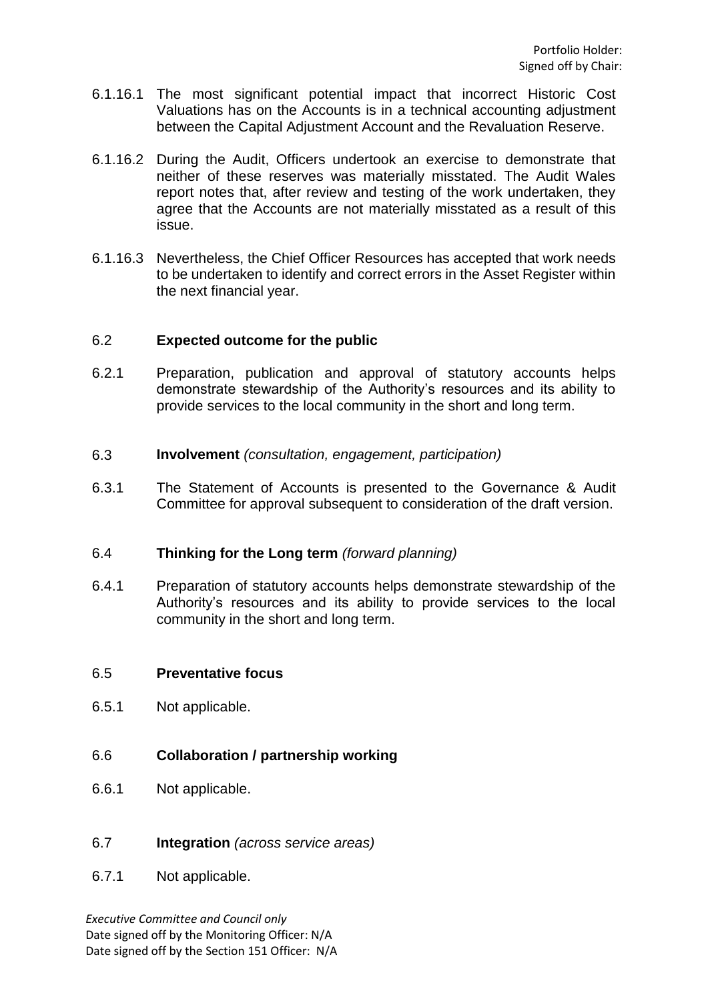- 6.1.16.1 The most significant potential impact that incorrect Historic Cost Valuations has on the Accounts is in a technical accounting adjustment between the Capital Adjustment Account and the Revaluation Reserve.
- 6.1.16.2 During the Audit, Officers undertook an exercise to demonstrate that neither of these reserves was materially misstated. The Audit Wales report notes that, after review and testing of the work undertaken, they agree that the Accounts are not materially misstated as a result of this issue.
- 6.1.16.3 Nevertheless, the Chief Officer Resources has accepted that work needs to be undertaken to identify and correct errors in the Asset Register within the next financial year.

### 6.2 **Expected outcome for the public**

- 6.2.1 Preparation, publication and approval of statutory accounts helps demonstrate stewardship of the Authority's resources and its ability to provide services to the local community in the short and long term.
- 6.3 **Involvement** *(consultation, engagement, participation)*
- 6.3.1 The Statement of Accounts is presented to the Governance & Audit Committee for approval subsequent to consideration of the draft version.

#### 6.4 **Thinking for the Long term** *(forward planning)*

6.4.1 Preparation of statutory accounts helps demonstrate stewardship of the Authority's resources and its ability to provide services to the local community in the short and long term.

#### 6.5 **Preventative focus**

6.5.1 Not applicable.

### 6.6 **Collaboration / partnership working**

- 6.6.1 Not applicable.
- 6.7 **Integration** *(across service areas)*
- 6.7.1 Not applicable.